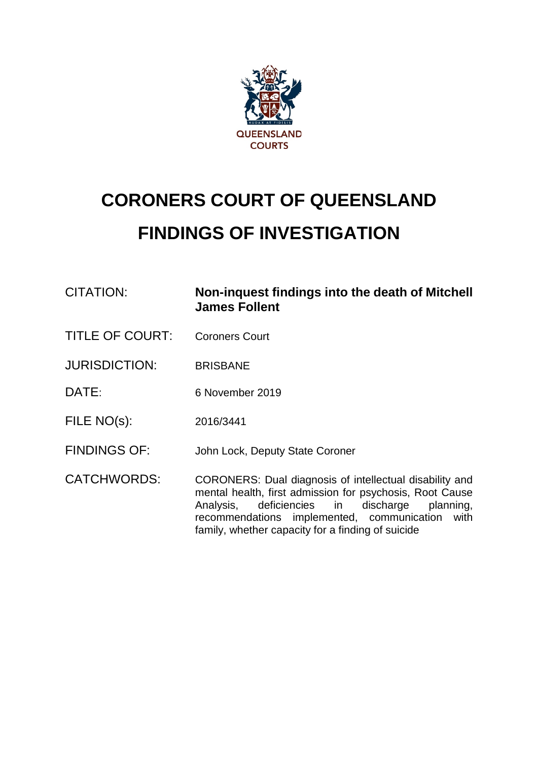

# **CORONERS COURT OF QUEENSLAND FINDINGS OF INVESTIGATION**

| <b>CITATION:</b>       | Non-inquest findings into the death of Mitchell<br><b>James Follent</b>                                                                                                                                                                                                               |
|------------------------|---------------------------------------------------------------------------------------------------------------------------------------------------------------------------------------------------------------------------------------------------------------------------------------|
| <b>TITLE OF COURT:</b> | <b>Coroners Court</b>                                                                                                                                                                                                                                                                 |
| <b>JURISDICTION:</b>   | <b>BRISBANE</b>                                                                                                                                                                                                                                                                       |
| DATE:                  | 6 November 2019                                                                                                                                                                                                                                                                       |
| FILE NO(s):            | 2016/3441                                                                                                                                                                                                                                                                             |
| <b>FINDINGS OF:</b>    | John Lock, Deputy State Coroner                                                                                                                                                                                                                                                       |
| <b>CATCHWORDS:</b>     | CORONERS: Dual diagnosis of intellectual disability and<br>mental health, first admission for psychosis, Root Cause<br>deficiencies in discharge<br>Analysis,<br>planning,<br>recommendations implemented, communication<br>with<br>family, whether capacity for a finding of suicide |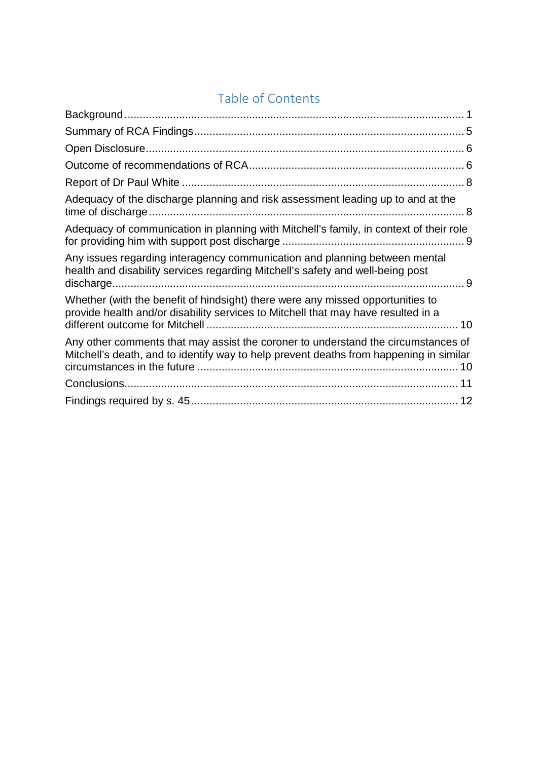# Table of Contents

| Adequacy of the discharge planning and risk assessment leading up to and at the                                                                                             |
|-----------------------------------------------------------------------------------------------------------------------------------------------------------------------------|
| Adequacy of communication in planning with Mitchell's family, in context of their role                                                                                      |
| Any issues regarding interagency communication and planning between mental<br>health and disability services regarding Mitchell's safety and well-being post                |
| Whether (with the benefit of hindsight) there were any missed opportunities to<br>provide health and/or disability services to Mitchell that may have resulted in a         |
| Any other comments that may assist the coroner to understand the circumstances of<br>Mitchell's death, and to identify way to help prevent deaths from happening in similar |
|                                                                                                                                                                             |
|                                                                                                                                                                             |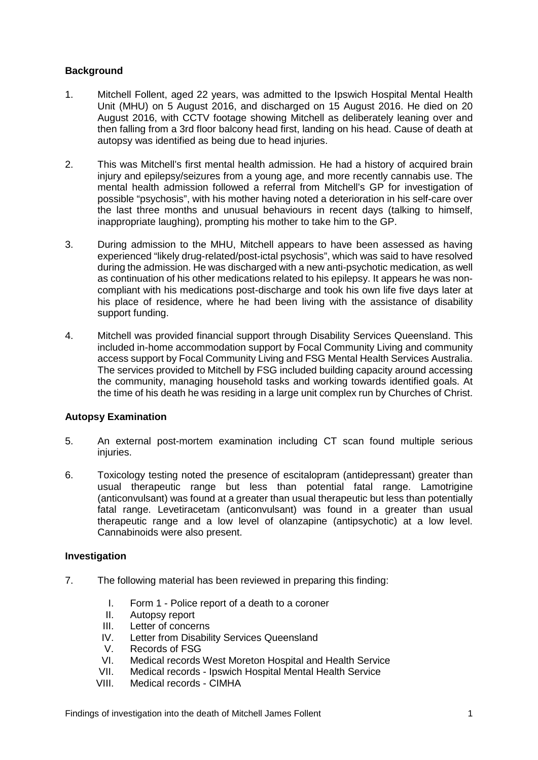# <span id="page-2-0"></span>**Background**

- 1. Mitchell Follent, aged 22 years, was admitted to the Ipswich Hospital Mental Health Unit (MHU) on 5 August 2016, and discharged on 15 August 2016. He died on 20 August 2016, with CCTV footage showing Mitchell as deliberately leaning over and then falling from a 3rd floor balcony head first, landing on his head. Cause of death at autopsy was identified as being due to head injuries.
- 2. This was Mitchell's first mental health admission. He had a history of acquired brain injury and epilepsy/seizures from a young age, and more recently cannabis use. The mental health admission followed a referral from Mitchell's GP for investigation of possible "psychosis", with his mother having noted a deterioration in his self-care over the last three months and unusual behaviours in recent days (talking to himself, inappropriate laughing), prompting his mother to take him to the GP.
- 3. During admission to the MHU, Mitchell appears to have been assessed as having experienced "likely drug-related/post-ictal psychosis", which was said to have resolved during the admission. He was discharged with a new anti-psychotic medication, as well as continuation of his other medications related to his epilepsy. It appears he was noncompliant with his medications post-discharge and took his own life five days later at his place of residence, where he had been living with the assistance of disability support funding.
- 4. Mitchell was provided financial support through Disability Services Queensland. This included in-home accommodation support by Focal Community Living and community access support by Focal Community Living and FSG Mental Health Services Australia. The services provided to Mitchell by FSG included building capacity around accessing the community, managing household tasks and working towards identified goals. At the time of his death he was residing in a large unit complex run by Churches of Christ.

# **Autopsy Examination**

- 5. An external post-mortem examination including CT scan found multiple serious injuries.
- 6. Toxicology testing noted the presence of escitalopram (antidepressant) greater than usual therapeutic range but less than potential fatal range. Lamotrigine (anticonvulsant) was found at a greater than usual therapeutic but less than potentially fatal range. Levetiracetam (anticonvulsant) was found in a greater than usual therapeutic range and a low level of olanzapine (antipsychotic) at a low level. Cannabinoids were also present.

# **Investigation**

- 7. The following material has been reviewed in preparing this finding:
	- I. Form 1 Police report of a death to a coroner<br>II. Autonsy report
	- Autopsy report
	- III. Letter of concerns<br>IV. Letter from Disabil
	- Letter from Disability Services Queensland
	- V. Records of FSG<br>VI. Medical records
	- Medical records West Moreton Hospital and Health Service
	- VII. Medical records Ipswich Hospital Mental Health Service<br>VIII. Medical records CIMHA
	- Medical records CIMHA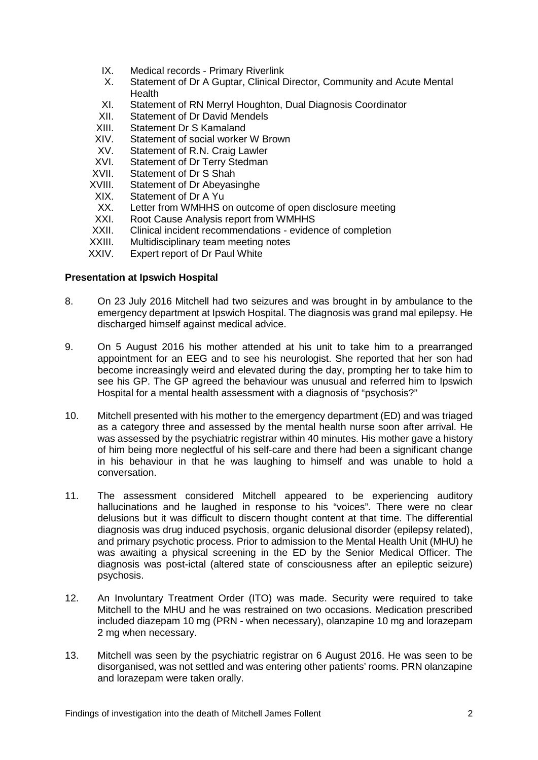- IX. Medical records Primary Riverlink
- X. Statement of Dr A Guptar, Clinical Director, Community and Acute Mental **Health**
- XI. Statement of RN Merryl Houghton, Dual Diagnosis Coordinator<br>XII. Statement of Dr David Mendels
- Statement of Dr David Mendels
- XIII. Statement Dr S Kamaland
- XIV. Statement of social worker W Brown
- XV. Statement of R.N. Craig Lawler
- XVI. Statement of Dr Terry Stedman<br>XVII. Statement of Dr S Shah
- XVII. Statement of Dr S Shah<br>XVIII. Statement of Dr Abevasi
- XVIII. Statement of Dr Abeyasinghe
- Statement of Dr A Yu
- XX. Letter from WMHHS on outcome of open disclosure meeting
- XXI. Root Cause Analysis report from WMHHS
- XXII. Clinical incident recommendations evidence of completion XXIII. Multidisciplinary team meeting notes
- Multidisciplinary team meeting notes
- XXIV. Expert report of Dr Paul White

#### **Presentation at Ipswich Hospital**

- 8. On 23 July 2016 Mitchell had two seizures and was brought in by ambulance to the emergency department at Ipswich Hospital. The diagnosis was grand mal epilepsy. He discharged himself against medical advice.
- 9. On 5 August 2016 his mother attended at his unit to take him to a prearranged appointment for an EEG and to see his neurologist. She reported that her son had become increasingly weird and elevated during the day, prompting her to take him to see his GP. The GP agreed the behaviour was unusual and referred him to Ipswich Hospital for a mental health assessment with a diagnosis of "psychosis?"
- 10. Mitchell presented with his mother to the emergency department (ED) and was triaged as a category three and assessed by the mental health nurse soon after arrival. He was assessed by the psychiatric registrar within 40 minutes. His mother gave a history of him being more neglectful of his self-care and there had been a significant change in his behaviour in that he was laughing to himself and was unable to hold a conversation.
- 11. The assessment considered Mitchell appeared to be experiencing auditory hallucinations and he laughed in response to his "voices". There were no clear delusions but it was difficult to discern thought content at that time. The differential diagnosis was drug induced psychosis, organic delusional disorder (epilepsy related), and primary psychotic process. Prior to admission to the Mental Health Unit (MHU) he was awaiting a physical screening in the ED by the Senior Medical Officer. The diagnosis was post-ictal (altered state of consciousness after an epileptic seizure) psychosis.
- 12. An Involuntary Treatment Order (ITO) was made. Security were required to take Mitchell to the MHU and he was restrained on two occasions. Medication prescribed included diazepam 10 mg (PRN - when necessary), olanzapine 10 mg and lorazepam 2 mg when necessary.
- 13. Mitchell was seen by the psychiatric registrar on 6 August 2016. He was seen to be disorganised, was not settled and was entering other patients' rooms. PRN olanzapine and lorazepam were taken orally.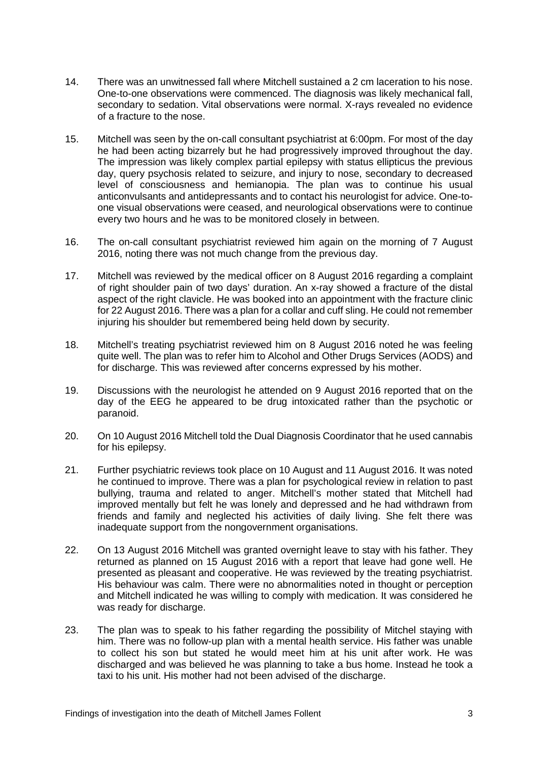- 14. There was an unwitnessed fall where Mitchell sustained a 2 cm laceration to his nose. One-to-one observations were commenced. The diagnosis was likely mechanical fall, secondary to sedation. Vital observations were normal. X-rays revealed no evidence of a fracture to the nose.
- 15. Mitchell was seen by the on-call consultant psychiatrist at 6:00pm. For most of the day he had been acting bizarrely but he had progressively improved throughout the day. The impression was likely complex partial epilepsy with status ellipticus the previous day, query psychosis related to seizure, and injury to nose, secondary to decreased level of consciousness and hemianopia. The plan was to continue his usual anticonvulsants and antidepressants and to contact his neurologist for advice. One-toone visual observations were ceased, and neurological observations were to continue every two hours and he was to be monitored closely in between.
- 16. The on-call consultant psychiatrist reviewed him again on the morning of 7 August 2016, noting there was not much change from the previous day.
- 17. Mitchell was reviewed by the medical officer on 8 August 2016 regarding a complaint of right shoulder pain of two days' duration. An x-ray showed a fracture of the distal aspect of the right clavicle. He was booked into an appointment with the fracture clinic for 22 August 2016. There was a plan for a collar and cuff sling. He could not remember injuring his shoulder but remembered being held down by security.
- 18. Mitchell's treating psychiatrist reviewed him on 8 August 2016 noted he was feeling quite well. The plan was to refer him to Alcohol and Other Drugs Services (AODS) and for discharge. This was reviewed after concerns expressed by his mother.
- 19. Discussions with the neurologist he attended on 9 August 2016 reported that on the day of the EEG he appeared to be drug intoxicated rather than the psychotic or paranoid.
- 20. On 10 August 2016 Mitchell told the Dual Diagnosis Coordinator that he used cannabis for his epilepsy.
- 21. Further psychiatric reviews took place on 10 August and 11 August 2016. It was noted he continued to improve. There was a plan for psychological review in relation to past bullying, trauma and related to anger. Mitchell's mother stated that Mitchell had improved mentally but felt he was lonely and depressed and he had withdrawn from friends and family and neglected his activities of daily living. She felt there was inadequate support from the nongovernment organisations.
- 22. On 13 August 2016 Mitchell was granted overnight leave to stay with his father. They returned as planned on 15 August 2016 with a report that leave had gone well. He presented as pleasant and cooperative. He was reviewed by the treating psychiatrist. His behaviour was calm. There were no abnormalities noted in thought or perception and Mitchell indicated he was willing to comply with medication. It was considered he was ready for discharge.
- 23. The plan was to speak to his father regarding the possibility of Mitchel staying with him. There was no follow-up plan with a mental health service. His father was unable to collect his son but stated he would meet him at his unit after work. He was discharged and was believed he was planning to take a bus home. Instead he took a taxi to his unit. His mother had not been advised of the discharge.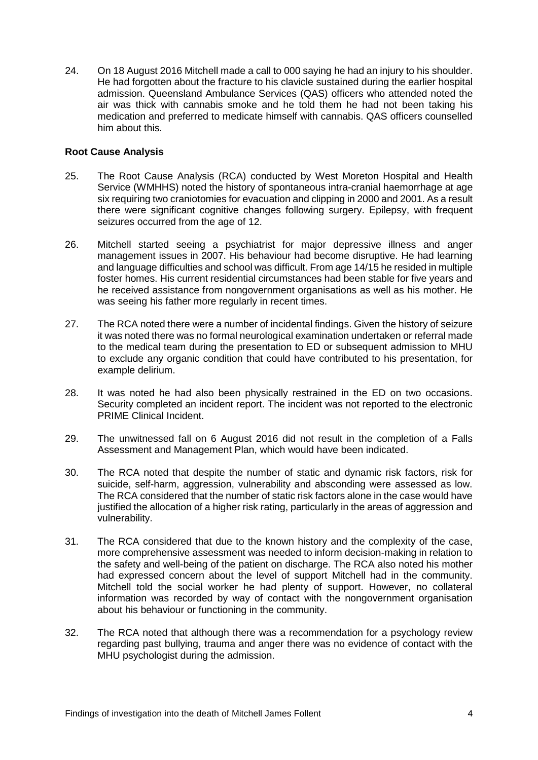24. On 18 August 2016 Mitchell made a call to 000 saying he had an injury to his shoulder. He had forgotten about the fracture to his clavicle sustained during the earlier hospital admission. Queensland Ambulance Services (QAS) officers who attended noted the air was thick with cannabis smoke and he told them he had not been taking his medication and preferred to medicate himself with cannabis. QAS officers counselled him about this.

# **Root Cause Analysis**

- 25. The Root Cause Analysis (RCA) conducted by West Moreton Hospital and Health Service (WMHHS) noted the history of spontaneous intra-cranial haemorrhage at age six requiring two craniotomies for evacuation and clipping in 2000 and 2001. As a result there were significant cognitive changes following surgery. Epilepsy, with frequent seizures occurred from the age of 12.
- 26. Mitchell started seeing a psychiatrist for major depressive illness and anger management issues in 2007. His behaviour had become disruptive. He had learning and language difficulties and school was difficult. From age 14/15 he resided in multiple foster homes. His current residential circumstances had been stable for five years and he received assistance from nongovernment organisations as well as his mother. He was seeing his father more regularly in recent times.
- 27. The RCA noted there were a number of incidental findings. Given the history of seizure it was noted there was no formal neurological examination undertaken or referral made to the medical team during the presentation to ED or subsequent admission to MHU to exclude any organic condition that could have contributed to his presentation, for example delirium.
- 28. It was noted he had also been physically restrained in the ED on two occasions. Security completed an incident report. The incident was not reported to the electronic PRIME Clinical Incident.
- 29. The unwitnessed fall on 6 August 2016 did not result in the completion of a Falls Assessment and Management Plan, which would have been indicated.
- 30. The RCA noted that despite the number of static and dynamic risk factors, risk for suicide, self-harm, aggression, vulnerability and absconding were assessed as low. The RCA considered that the number of static risk factors alone in the case would have justified the allocation of a higher risk rating, particularly in the areas of aggression and vulnerability.
- 31. The RCA considered that due to the known history and the complexity of the case, more comprehensive assessment was needed to inform decision-making in relation to the safety and well-being of the patient on discharge. The RCA also noted his mother had expressed concern about the level of support Mitchell had in the community. Mitchell told the social worker he had plenty of support. However, no collateral information was recorded by way of contact with the nongovernment organisation about his behaviour or functioning in the community.
- 32. The RCA noted that although there was a recommendation for a psychology review regarding past bullying, trauma and anger there was no evidence of contact with the MHU psychologist during the admission.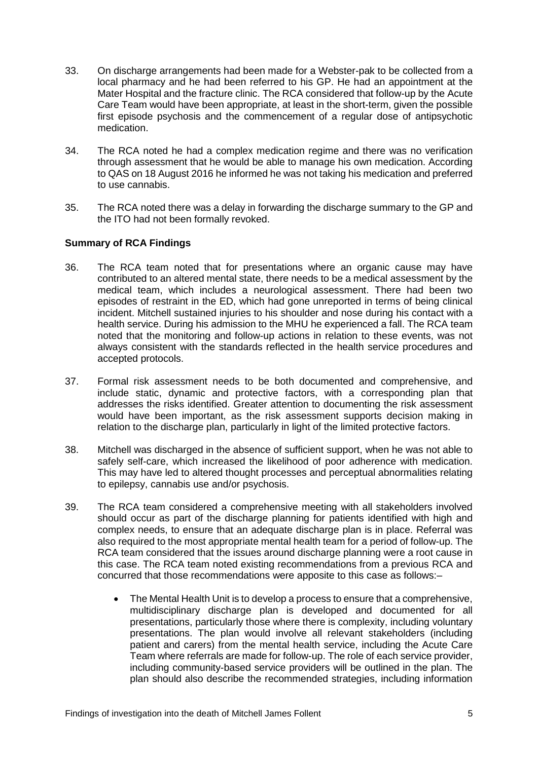- 33. On discharge arrangements had been made for a Webster-pak to be collected from a local pharmacy and he had been referred to his GP. He had an appointment at the Mater Hospital and the fracture clinic. The RCA considered that follow-up by the Acute Care Team would have been appropriate, at least in the short-term, given the possible first episode psychosis and the commencement of a regular dose of antipsychotic medication.
- 34. The RCA noted he had a complex medication regime and there was no verification through assessment that he would be able to manage his own medication. According to QAS on 18 August 2016 he informed he was not taking his medication and preferred to use cannabis.
- 35. The RCA noted there was a delay in forwarding the discharge summary to the GP and the ITO had not been formally revoked.

# <span id="page-6-0"></span>**Summary of RCA Findings**

- 36. The RCA team noted that for presentations where an organic cause may have contributed to an altered mental state, there needs to be a medical assessment by the medical team, which includes a neurological assessment. There had been two episodes of restraint in the ED, which had gone unreported in terms of being clinical incident. Mitchell sustained injuries to his shoulder and nose during his contact with a health service. During his admission to the MHU he experienced a fall. The RCA team noted that the monitoring and follow-up actions in relation to these events, was not always consistent with the standards reflected in the health service procedures and accepted protocols.
- 37. Formal risk assessment needs to be both documented and comprehensive, and include static, dynamic and protective factors, with a corresponding plan that addresses the risks identified. Greater attention to documenting the risk assessment would have been important, as the risk assessment supports decision making in relation to the discharge plan, particularly in light of the limited protective factors.
- 38. Mitchell was discharged in the absence of sufficient support, when he was not able to safely self-care, which increased the likelihood of poor adherence with medication. This may have led to altered thought processes and perceptual abnormalities relating to epilepsy, cannabis use and/or psychosis.
- 39. The RCA team considered a comprehensive meeting with all stakeholders involved should occur as part of the discharge planning for patients identified with high and complex needs, to ensure that an adequate discharge plan is in place. Referral was also required to the most appropriate mental health team for a period of follow-up. The RCA team considered that the issues around discharge planning were a root cause in this case. The RCA team noted existing recommendations from a previous RCA and concurred that those recommendations were apposite to this case as follows:–
	- The Mental Health Unit is to develop a process to ensure that a comprehensive, multidisciplinary discharge plan is developed and documented for all presentations, particularly those where there is complexity, including voluntary presentations. The plan would involve all relevant stakeholders (including patient and carers) from the mental health service, including the Acute Care Team where referrals are made for follow-up. The role of each service provider, including community-based service providers will be outlined in the plan. The plan should also describe the recommended strategies, including information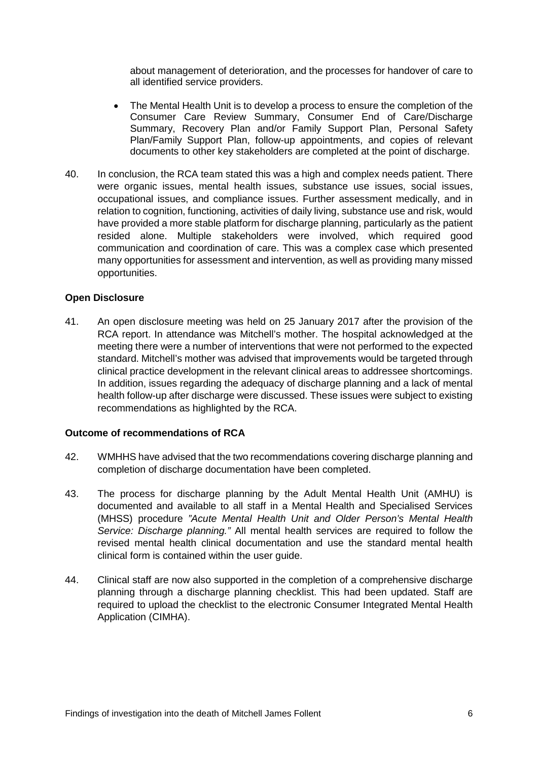about management of deterioration, and the processes for handover of care to all identified service providers.

- The Mental Health Unit is to develop a process to ensure the completion of the Consumer Care Review Summary, Consumer End of Care/Discharge Summary, Recovery Plan and/or Family Support Plan, Personal Safety Plan/Family Support Plan, follow-up appointments, and copies of relevant documents to other key stakeholders are completed at the point of discharge.
- 40. In conclusion, the RCA team stated this was a high and complex needs patient. There were organic issues, mental health issues, substance use issues, social issues, occupational issues, and compliance issues. Further assessment medically, and in relation to cognition, functioning, activities of daily living, substance use and risk, would have provided a more stable platform for discharge planning, particularly as the patient resided alone. Multiple stakeholders were involved, which required good communication and coordination of care. This was a complex case which presented many opportunities for assessment and intervention, as well as providing many missed opportunities.

#### <span id="page-7-0"></span>**Open Disclosure**

41. An open disclosure meeting was held on 25 January 2017 after the provision of the RCA report. In attendance was Mitchell's mother. The hospital acknowledged at the meeting there were a number of interventions that were not performed to the expected standard. Mitchell's mother was advised that improvements would be targeted through clinical practice development in the relevant clinical areas to addressee shortcomings. In addition, issues regarding the adequacy of discharge planning and a lack of mental health follow-up after discharge were discussed. These issues were subject to existing recommendations as highlighted by the RCA.

#### <span id="page-7-1"></span>**Outcome of recommendations of RCA**

- 42. WMHHS have advised that the two recommendations covering discharge planning and completion of discharge documentation have been completed.
- 43. The process for discharge planning by the Adult Mental Health Unit (AMHU) is documented and available to all staff in a Mental Health and Specialised Services (MHSS) procedure *"Acute Mental Health Unit and Older Person's Mental Health Service: Discharge planning."* All mental health services are required to follow the revised mental health clinical documentation and use the standard mental health clinical form is contained within the user guide.
- 44. Clinical staff are now also supported in the completion of a comprehensive discharge planning through a discharge planning checklist. This had been updated. Staff are required to upload the checklist to the electronic Consumer Integrated Mental Health Application (CIMHA).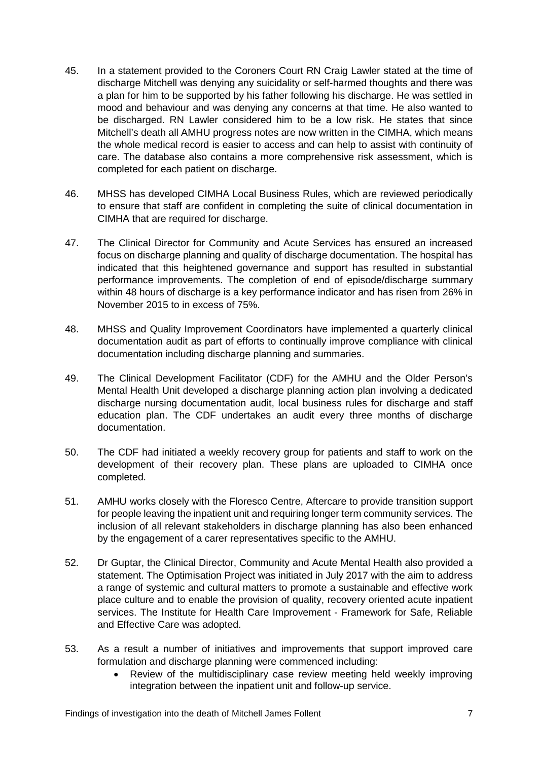- 45. In a statement provided to the Coroners Court RN Craig Lawler stated at the time of discharge Mitchell was denying any suicidality or self-harmed thoughts and there was a plan for him to be supported by his father following his discharge. He was settled in mood and behaviour and was denying any concerns at that time. He also wanted to be discharged. RN Lawler considered him to be a low risk. He states that since Mitchell's death all AMHU progress notes are now written in the CIMHA, which means the whole medical record is easier to access and can help to assist with continuity of care. The database also contains a more comprehensive risk assessment, which is completed for each patient on discharge.
- 46. MHSS has developed CIMHA Local Business Rules, which are reviewed periodically to ensure that staff are confident in completing the suite of clinical documentation in CIMHA that are required for discharge.
- 47. The Clinical Director for Community and Acute Services has ensured an increased focus on discharge planning and quality of discharge documentation. The hospital has indicated that this heightened governance and support has resulted in substantial performance improvements. The completion of end of episode/discharge summary within 48 hours of discharge is a key performance indicator and has risen from 26% in November 2015 to in excess of 75%.
- 48. MHSS and Quality Improvement Coordinators have implemented a quarterly clinical documentation audit as part of efforts to continually improve compliance with clinical documentation including discharge planning and summaries.
- 49. The Clinical Development Facilitator (CDF) for the AMHU and the Older Person's Mental Health Unit developed a discharge planning action plan involving a dedicated discharge nursing documentation audit, local business rules for discharge and staff education plan. The CDF undertakes an audit every three months of discharge documentation.
- 50. The CDF had initiated a weekly recovery group for patients and staff to work on the development of their recovery plan. These plans are uploaded to CIMHA once completed.
- 51. AMHU works closely with the Floresco Centre, Aftercare to provide transition support for people leaving the inpatient unit and requiring longer term community services. The inclusion of all relevant stakeholders in discharge planning has also been enhanced by the engagement of a carer representatives specific to the AMHU.
- 52. Dr Guptar, the Clinical Director, Community and Acute Mental Health also provided a statement. The Optimisation Project was initiated in July 2017 with the aim to address a range of systemic and cultural matters to promote a sustainable and effective work place culture and to enable the provision of quality, recovery oriented acute inpatient services. The Institute for Health Care Improvement - Framework for Safe, Reliable and Effective Care was adopted.
- 53. As a result a number of initiatives and improvements that support improved care formulation and discharge planning were commenced including:
	- Review of the multidisciplinary case review meeting held weekly improving integration between the inpatient unit and follow-up service.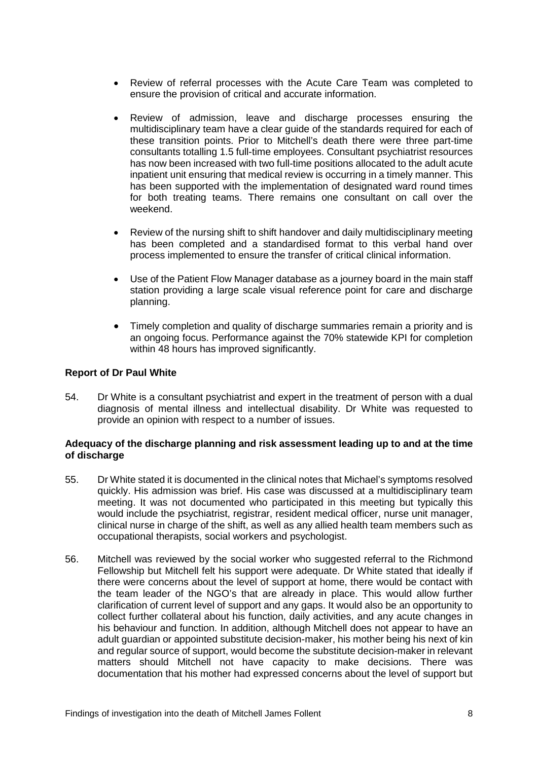- Review of referral processes with the Acute Care Team was completed to ensure the provision of critical and accurate information.
- Review of admission, leave and discharge processes ensuring the multidisciplinary team have a clear guide of the standards required for each of these transition points. Prior to Mitchell's death there were three part-time consultants totalling 1.5 full-time employees. Consultant psychiatrist resources has now been increased with two full-time positions allocated to the adult acute inpatient unit ensuring that medical review is occurring in a timely manner. This has been supported with the implementation of designated ward round times for both treating teams. There remains one consultant on call over the weekend.
- Review of the nursing shift to shift handover and daily multidisciplinary meeting has been completed and a standardised format to this verbal hand over process implemented to ensure the transfer of critical clinical information.
- Use of the Patient Flow Manager database as a journey board in the main staff station providing a large scale visual reference point for care and discharge planning.
- Timely completion and quality of discharge summaries remain a priority and is an ongoing focus. Performance against the 70% statewide KPI for completion within 48 hours has improved significantly.

# <span id="page-9-0"></span>**Report of Dr Paul White**

54. Dr White is a consultant psychiatrist and expert in the treatment of person with a dual diagnosis of mental illness and intellectual disability. Dr White was requested to provide an opinion with respect to a number of issues.

#### <span id="page-9-1"></span>**Adequacy of the discharge planning and risk assessment leading up to and at the time of discharge**

- 55. Dr White stated it is documented in the clinical notes that Michael's symptoms resolved quickly. His admission was brief. His case was discussed at a multidisciplinary team meeting. It was not documented who participated in this meeting but typically this would include the psychiatrist, registrar, resident medical officer, nurse unit manager, clinical nurse in charge of the shift, as well as any allied health team members such as occupational therapists, social workers and psychologist.
- 56. Mitchell was reviewed by the social worker who suggested referral to the Richmond Fellowship but Mitchell felt his support were adequate. Dr White stated that ideally if there were concerns about the level of support at home, there would be contact with the team leader of the NGO's that are already in place. This would allow further clarification of current level of support and any gaps. It would also be an opportunity to collect further collateral about his function, daily activities, and any acute changes in his behaviour and function. In addition, although Mitchell does not appear to have an adult guardian or appointed substitute decision-maker, his mother being his next of kin and regular source of support, would become the substitute decision-maker in relevant matters should Mitchell not have capacity to make decisions. There was documentation that his mother had expressed concerns about the level of support but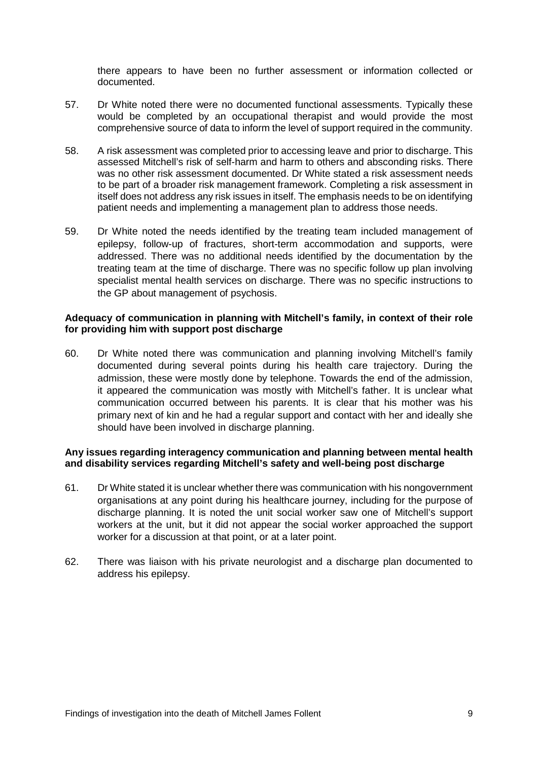there appears to have been no further assessment or information collected or documented.

- 57. Dr White noted there were no documented functional assessments. Typically these would be completed by an occupational therapist and would provide the most comprehensive source of data to inform the level of support required in the community.
- 58. A risk assessment was completed prior to accessing leave and prior to discharge. This assessed Mitchell's risk of self-harm and harm to others and absconding risks. There was no other risk assessment documented. Dr White stated a risk assessment needs to be part of a broader risk management framework. Completing a risk assessment in itself does not address any risk issues in itself. The emphasis needs to be on identifying patient needs and implementing a management plan to address those needs.
- 59. Dr White noted the needs identified by the treating team included management of epilepsy, follow-up of fractures, short-term accommodation and supports, were addressed. There was no additional needs identified by the documentation by the treating team at the time of discharge. There was no specific follow up plan involving specialist mental health services on discharge. There was no specific instructions to the GP about management of psychosis.

#### <span id="page-10-0"></span>**Adequacy of communication in planning with Mitchell's family, in context of their role for providing him with support post discharge**

60. Dr White noted there was communication and planning involving Mitchell's family documented during several points during his health care trajectory. During the admission, these were mostly done by telephone. Towards the end of the admission, it appeared the communication was mostly with Mitchell's father. It is unclear what communication occurred between his parents. It is clear that his mother was his primary next of kin and he had a regular support and contact with her and ideally she should have been involved in discharge planning.

# <span id="page-10-1"></span>**Any issues regarding interagency communication and planning between mental health and disability services regarding Mitchell's safety and well-being post discharge**

- 61. Dr White stated it is unclear whether there was communication with his nongovernment organisations at any point during his healthcare journey, including for the purpose of discharge planning. It is noted the unit social worker saw one of Mitchell's support workers at the unit, but it did not appear the social worker approached the support worker for a discussion at that point, or at a later point.
- 62. There was liaison with his private neurologist and a discharge plan documented to address his epilepsy.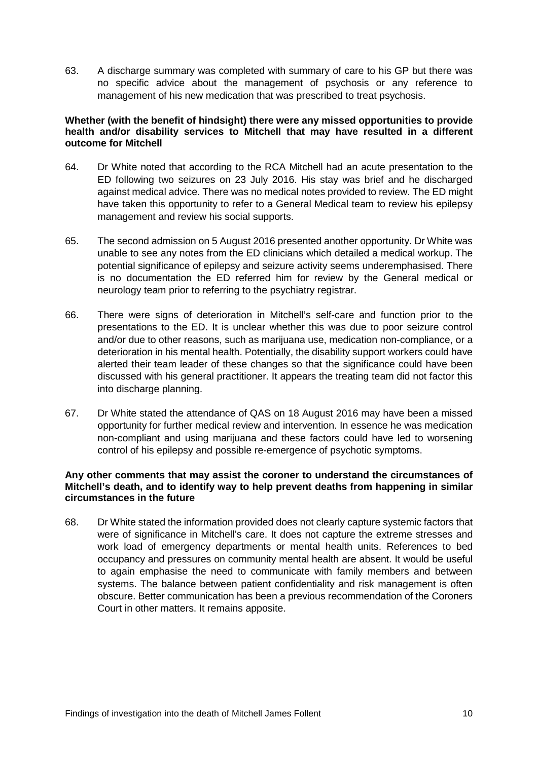63. A discharge summary was completed with summary of care to his GP but there was no specific advice about the management of psychosis or any reference to management of his new medication that was prescribed to treat psychosis.

#### <span id="page-11-0"></span>**Whether (with the benefit of hindsight) there were any missed opportunities to provide health and/or disability services to Mitchell that may have resulted in a different outcome for Mitchell**

- 64. Dr White noted that according to the RCA Mitchell had an acute presentation to the ED following two seizures on 23 July 2016. His stay was brief and he discharged against medical advice. There was no medical notes provided to review. The ED might have taken this opportunity to refer to a General Medical team to review his epilepsy management and review his social supports.
- 65. The second admission on 5 August 2016 presented another opportunity. Dr White was unable to see any notes from the ED clinicians which detailed a medical workup. The potential significance of epilepsy and seizure activity seems underemphasised. There is no documentation the ED referred him for review by the General medical or neurology team prior to referring to the psychiatry registrar.
- 66. There were signs of deterioration in Mitchell's self-care and function prior to the presentations to the ED. It is unclear whether this was due to poor seizure control and/or due to other reasons, such as marijuana use, medication non-compliance, or a deterioration in his mental health. Potentially, the disability support workers could have alerted their team leader of these changes so that the significance could have been discussed with his general practitioner. It appears the treating team did not factor this into discharge planning.
- 67. Dr White stated the attendance of QAS on 18 August 2016 may have been a missed opportunity for further medical review and intervention. In essence he was medication non-compliant and using marijuana and these factors could have led to worsening control of his epilepsy and possible re-emergence of psychotic symptoms.

# <span id="page-11-1"></span>**Any other comments that may assist the coroner to understand the circumstances of Mitchell's death, and to identify way to help prevent deaths from happening in similar circumstances in the future**

<span id="page-11-2"></span>68. Dr White stated the information provided does not clearly capture systemic factors that were of significance in Mitchell's care. It does not capture the extreme stresses and work load of emergency departments or mental health units. References to bed occupancy and pressures on community mental health are absent. It would be useful to again emphasise the need to communicate with family members and between systems. The balance between patient confidentiality and risk management is often obscure. Better communication has been a previous recommendation of the Coroners Court in other matters. It remains apposite.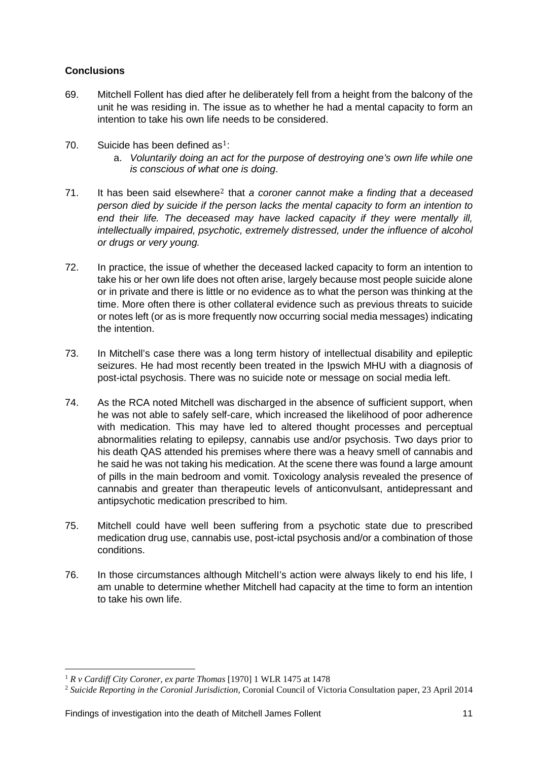# **Conclusions**

- 69. Mitchell Follent has died after he deliberately fell from a height from the balcony of the unit he was residing in. The issue as to whether he had a mental capacity to form an intention to take his own life needs to be considered.
- 70. Suicide has been defined  $as<sup>1</sup>$ 
	- a. *Voluntarily doing an [ac](#page-12-0)t for the purpose of destroying one's own life while one is conscious of what one is doing*.
- 71. It has been said elsewhere2 that *a coroner cannot make a finding that a deceased person died by suicide if th[e](#page-12-1) person lacks the mental capacity to form an intention to end their life. The deceased may have lacked capacity if they were mentally ill, intellectually impaired, psychotic, extremely distressed, under the influence of alcohol or drugs or very young.*
- 72. In practice, the issue of whether the deceased lacked capacity to form an intention to take his or her own life does not often arise, largely because most people suicide alone or in private and there is little or no evidence as to what the person was thinking at the time. More often there is other collateral evidence such as previous threats to suicide or notes left (or as is more frequently now occurring social media messages) indicating the intention.
- 73. In Mitchell's case there was a long term history of intellectual disability and epileptic seizures. He had most recently been treated in the Ipswich MHU with a diagnosis of post-ictal psychosis. There was no suicide note or message on social media left.
- 74. As the RCA noted Mitchell was discharged in the absence of sufficient support, when he was not able to safely self-care, which increased the likelihood of poor adherence with medication. This may have led to altered thought processes and perceptual abnormalities relating to epilepsy, cannabis use and/or psychosis. Two days prior to his death QAS attended his premises where there was a heavy smell of cannabis and he said he was not taking his medication. At the scene there was found a large amount of pills in the main bedroom and vomit. Toxicology analysis revealed the presence of cannabis and greater than therapeutic levels of anticonvulsant, antidepressant and antipsychotic medication prescribed to him.
- 75. Mitchell could have well been suffering from a psychotic state due to prescribed medication drug use, cannabis use, post-ictal psychosis and/or a combination of those conditions.
- 76. In those circumstances although MitchelI's action were always likely to end his life, I am unable to determine whether Mitchell had capacity at the time to form an intention to take his own life.

<sup>1</sup> *R v Cardiff City Coroner, ex parte Thomas* [1970] 1 WLR 1475 at 1478 <u>.</u>

<span id="page-12-1"></span><span id="page-12-0"></span><sup>2</sup> *Suicide Reporting in the Coronial Jurisdiction,* Coronial Council of Victoria Consultation paper, 23 April 2014